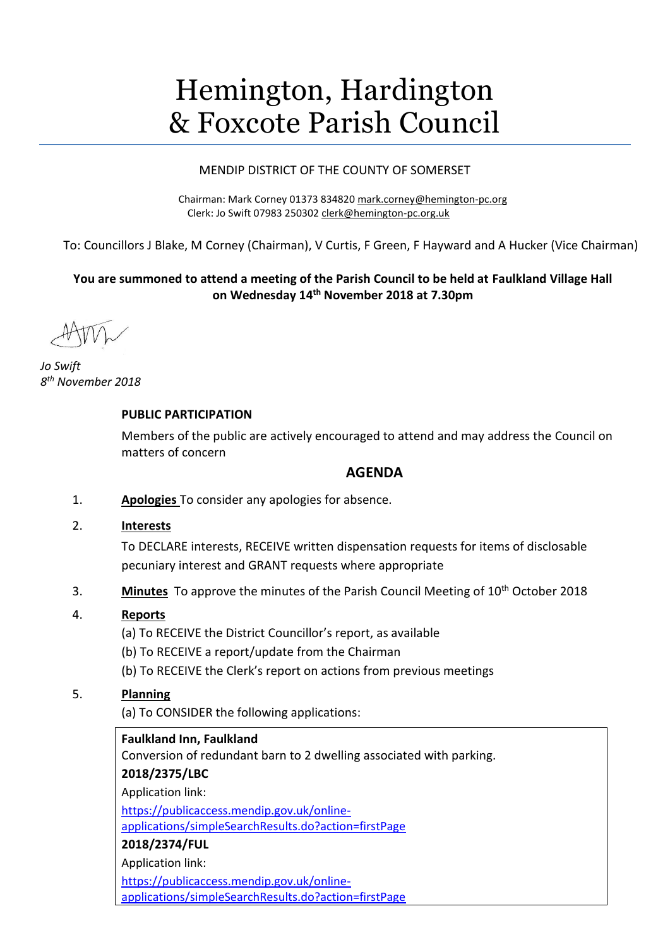# Hemington, Hardington & Foxcote Parish Council

## MENDIP DISTRICT OF THE COUNTY OF SOMERSET

Chairman: Mark Corney 01373 834820 [mark.corney@hemington-pc.org](mailto:mark.corney@hemington-pc.org) Clerk: Jo Swift 07983 250302 [clerk@hemington-pc.org.uk](mailto:clerk@hemington-pc.org.uk)

To: Councillors J Blake, M Corney (Chairman), V Curtis, F Green, F Hayward and A Hucker (Vice Chairman)

# **You are summoned to attend a meeting of the Parish Council to be held at Faulkland Village Hall on Wednesday 14 th November 2018 at 7.30pm**

*Jo Swift 8 th November 2018*

## **PUBLIC PARTICIPATION**

Members of the public are actively encouraged to attend and may address the Council on matters of concern

## **AGENDA**

- 1. **Apologies** To consider any apologies for absence.
- 2. **Interests**

To DECLARE interests, RECEIVE written dispensation requests for items of disclosable pecuniary interest and GRANT requests where appropriate

3. **Minutes** To approve the minutes of the Parish Council Meeting of 10th October 2018

## 4. **Reports**

- (a) To RECEIVE the District Councillor's report, as available
- (b) To RECEIVE a report/update from the Chairman
- (b) To RECEIVE the Clerk's report on actions from previous meetings

## 5. **Planning**

(a) To CONSIDER the following applications:

## **Faulkland Inn, Faulkland**

Conversion of redundant barn to 2 dwelling associated with parking.

## **2018/2375/LBC**

Application link:

[https://publicaccess.mendip.gov.uk/online-](https://publicaccess.mendip.gov.uk/online-applications/simpleSearchResults.do?action=firstPage)

[applications/simpleSearchResults.do?action=firstPage](https://publicaccess.mendip.gov.uk/online-applications/simpleSearchResults.do?action=firstPage)

## **2018/2374/FUL**

Application link:

[https://publicaccess.mendip.gov.uk/online-](https://publicaccess.mendip.gov.uk/online-applications/simpleSearchResults.do?action=firstPage)

[applications/simpleSearchResults.do?action=firstPage](https://publicaccess.mendip.gov.uk/online-applications/simpleSearchResults.do?action=firstPage)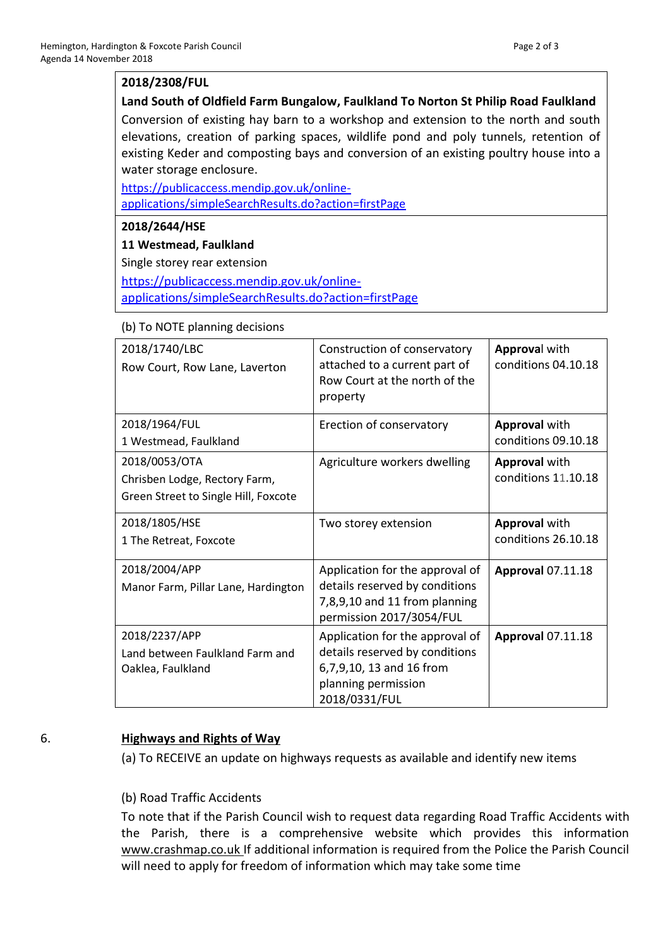## **2018/2308/FUL**

**Land South of Oldfield Farm Bungalow, Faulkland To Norton St Philip Road Faulkland** Conversion of existing hay barn to a workshop and extension to the north and south elevations, creation of parking spaces, wildlife pond and poly tunnels, retention of existing Keder and composting bays and conversion of an existing poultry house into a water storage enclosure.

[https://publicaccess.mendip.gov.uk/online](https://publicaccess.mendip.gov.uk/online-applications/simpleSearchResults.do?action=firstPage)[applications/simpleSearchResults.do?action=firstPage](https://publicaccess.mendip.gov.uk/online-applications/simpleSearchResults.do?action=firstPage)

## **2018/2644/HSE**

**11 Westmead, Faulkland**

Single storey rear extension

[https://publicaccess.mendip.gov.uk/online-](https://publicaccess.mendip.gov.uk/online-applications/simpleSearchResults.do?action=firstPage)

[applications/simpleSearchResults.do?action=firstPage](https://publicaccess.mendip.gov.uk/online-applications/simpleSearchResults.do?action=firstPage)

#### (b) To NOTE planning decisions

| 2018/1740/LBC<br>Row Court, Row Lane, Laverton                                         | Construction of conservatory<br>attached to a current part of<br>Row Court at the north of the<br>property                            | Approval with<br>conditions 04.10.18        |
|----------------------------------------------------------------------------------------|---------------------------------------------------------------------------------------------------------------------------------------|---------------------------------------------|
| 2018/1964/FUL<br>1 Westmead, Faulkland                                                 | Erection of conservatory                                                                                                              | <b>Approval with</b><br>conditions 09.10.18 |
| 2018/0053/OTA<br>Chrisben Lodge, Rectory Farm,<br>Green Street to Single Hill, Foxcote | Agriculture workers dwelling                                                                                                          | <b>Approval with</b><br>conditions 11.10.18 |
| 2018/1805/HSE<br>1 The Retreat, Foxcote                                                | Two storey extension                                                                                                                  | <b>Approval with</b><br>conditions 26.10.18 |
| 2018/2004/APP<br>Manor Farm, Pillar Lane, Hardington                                   | Application for the approval of<br>details reserved by conditions<br>7,8,9,10 and 11 from planning<br>permission 2017/3054/FUL        | <b>Approval 07.11.18</b>                    |
| 2018/2237/APP<br>Land between Faulkland Farm and<br>Oaklea, Faulkland                  | Application for the approval of<br>details reserved by conditions<br>6,7,9,10, 13 and 16 from<br>planning permission<br>2018/0331/FUL | <b>Approval 07.11.18</b>                    |

#### 6. **Highways and Rights of Way**

(a) To RECEIVE an update on highways requests as available and identify new items

## (b) Road Traffic Accidents

To note that if the Parish Council wish to request data regarding Road Traffic Accidents with the Parish, there is a comprehensive website which provides this information [www.crashmap.co.uk](http://www.crashmap.co.uk/) If additional information is required from the Police the Parish Council will need to apply for freedom of information which may take some time